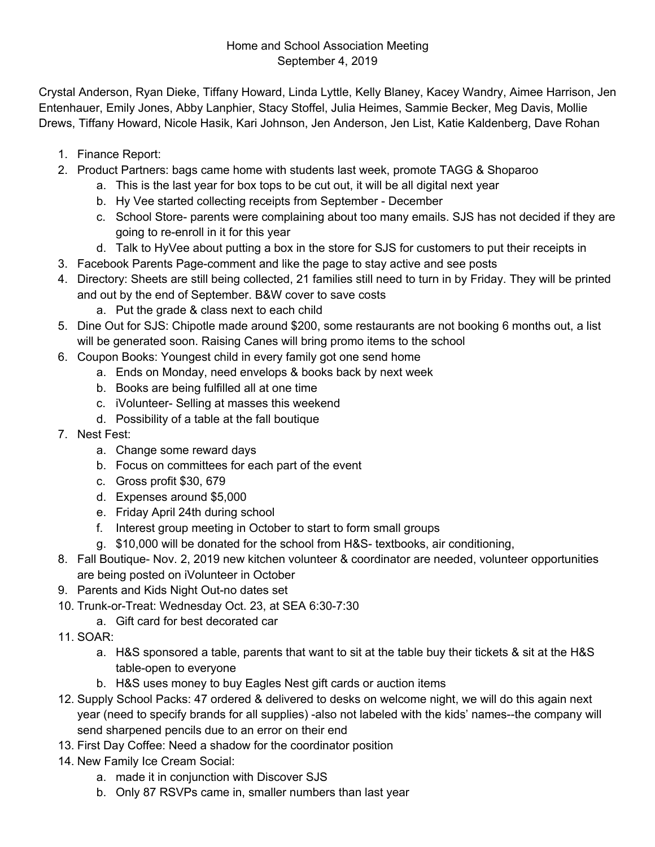## Home and School Association Meeting September 4, 2019

Crystal Anderson, Ryan Dieke, Tiffany Howard, Linda Lyttle, Kelly Blaney, Kacey Wandry, Aimee Harrison, Jen Entenhauer, Emily Jones, Abby Lanphier, Stacy Stoffel, Julia Heimes, Sammie Becker, Meg Davis, Mollie Drews, Tiffany Howard, Nicole Hasik, Kari Johnson, Jen Anderson, Jen List, Katie Kaldenberg, Dave Rohan

- 1. Finance Report:
- 2. Product Partners: bags came home with students last week, promote TAGG & Shoparoo
	- a. This is the last year for box tops to be cut out, it will be all digital next year
	- b. Hy Vee started collecting receipts from September December
	- c. School Store- parents were complaining about too many emails. SJS has not decided if they are going to re-enroll in it for this year
	- d. Talk to HyVee about putting a box in the store for SJS for customers to put their receipts in
- 3. Facebook Parents Page-comment and like the page to stay active and see posts
- 4. Directory: Sheets are still being collected, 21 families still need to turn in by Friday. They will be printed and out by the end of September. B&W cover to save costs
	- a. Put the grade & class next to each child
- 5. Dine Out for SJS: Chipotle made around \$200, some restaurants are not booking 6 months out, a list will be generated soon. Raising Canes will bring promo items to the school
- 6. Coupon Books: Youngest child in every family got one send home
	- a. Ends on Monday, need envelops & books back by next week
	- b. Books are being fulfilled all at one time
	- c. iVolunteer- Selling at masses this weekend
	- d. Possibility of a table at the fall boutique
- 7. Nest Fest:
	- a. Change some reward days
	- b. Focus on committees for each part of the event
	- c. Gross profit \$30, 679
	- d. Expenses around \$5,000
	- e. Friday April 24th during school
	- f. Interest group meeting in October to start to form small groups
	- g. \$10,000 will be donated for the school from H&S- textbooks, air conditioning,
- 8. Fall Boutique- Nov. 2, 2019 new kitchen volunteer & coordinator are needed, volunteer opportunities are being posted on iVolunteer in October
- 9. Parents and Kids Night Out-no dates set
- 10. Trunk-or-Treat: Wednesday Oct. 23, at SEA 6:30-7:30
	- a. Gift card for best decorated car
- 11. SOAR:
	- a. H&S sponsored a table, parents that want to sit at the table buy their tickets & sit at the H&S table-open to everyone
	- b. H&S uses money to buy Eagles Nest gift cards or auction items
- 12. Supply School Packs: 47 ordered & delivered to desks on welcome night, we will do this again next year (need to specify brands for all supplies) -also not labeled with the kids' names--the company will send sharpened pencils due to an error on their end
- 13. First Day Coffee: Need a shadow for the coordinator position
- 14. New Family Ice Cream Social:
	- a. made it in conjunction with Discover SJS
	- b. Only 87 RSVPs came in, smaller numbers than last year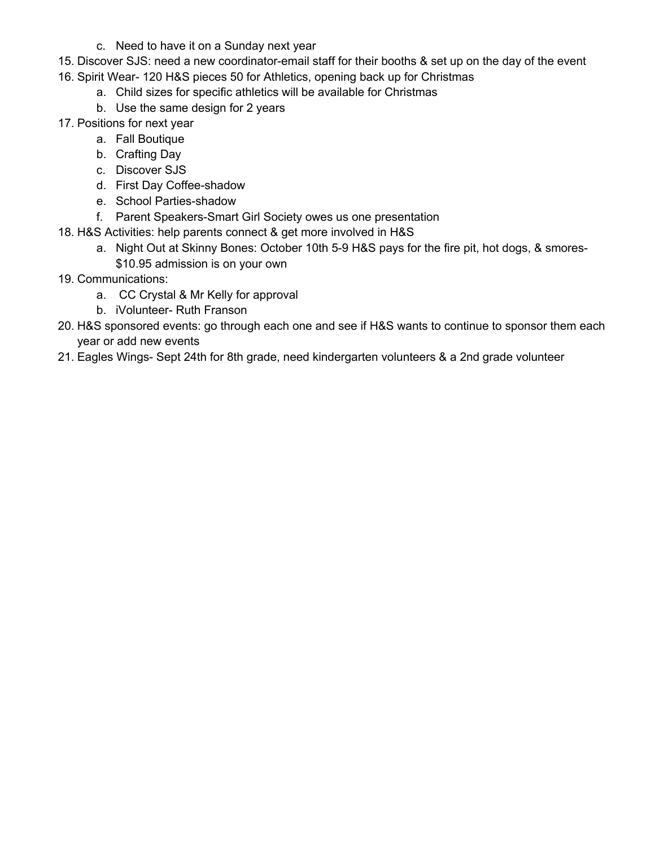- c. Need to have it on a Sunday next year
- 15. Discover SJS: need a new coordinator-email staff for their booths & set up on the day of the event
- 16. Spirit Wear- 120 H&S pieces 50 for Athletics, opening back up for Christmas
	- a. Child sizes for specific athletics will be available for Christmas
	- b. Use the same design for 2 years
- 17. Positions for next year
	- a. Fall Boutique
	- b. Crafting Day
	- c. Discover SJS
	- d. First Day Coffee-shadow
	- e. School Parties-shadow
	- f. Parent Speakers-Smart Girl Society owes us one presentation
- 18. H&S Activities: help parents connect & get more involved in H&S
	- a. Night Out at Skinny Bones: October 10th 5-9 H&S pays for the fire pit, hot dogs, & smores- \$10.95 admission is on your own
- 19. Communications:
	- a. CC Crystal & Mr Kelly for approval
	- b. iVolunteer- Ruth Franson
- 20. H&S sponsored events: go through each one and see if H&S wants to continue to sponsor them each year or add new events
- 21. Eagles Wings- Sept 24th for 8th grade, need kindergarten volunteers & a 2nd grade volunteer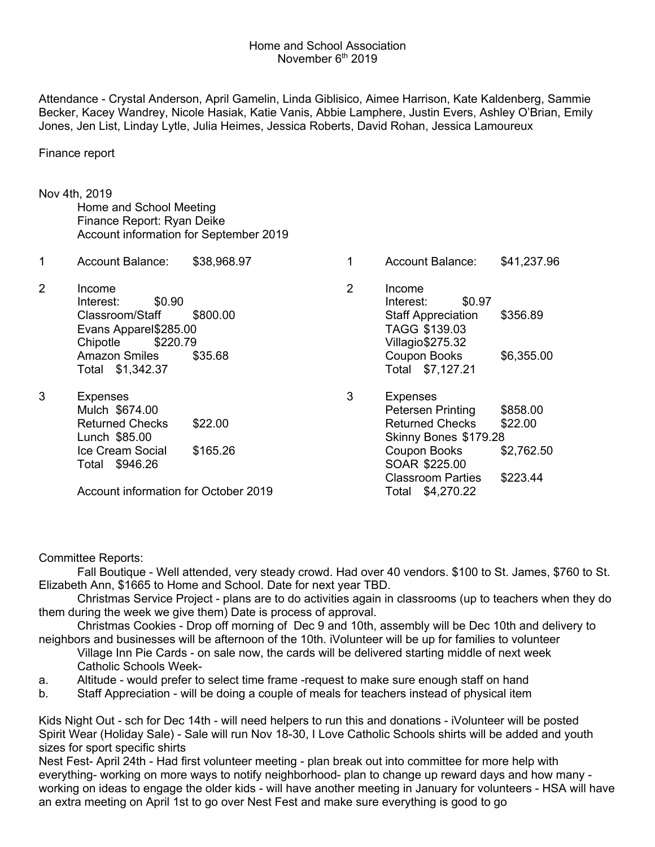## Home and School Association November 6<sup>th</sup> 2019

Attendance - Crystal Anderson, April Gamelin, Linda Giblisico, Aimee Harrison, Kate Kaldenberg, Sammie Becker, Kacey Wandrey, Nicole Hasiak, Katie Vanis, Abbie Lamphere, Justin Evers, Ashley O'Brian, Emily Jones, Jen List, Linday Lytle, Julia Heimes, Jessica Roberts, David Rohan, Jessica Lamoureux

Finance report

- Nov 4th, 2019 Home and School Meeting Finance Report: Ryan Deike Account information for September 2019
- 1 Account Balance: \$38,968.97
- 2 Income Interest: \$0.90 Classroom/Staff \$800.00 Evans Apparel\$285.00 Chipotle \$220.79 Amazon Smiles \$35.68 Total \$1,342.37
- 3 Expenses Mulch \$674.00 Returned Checks \$22.00 Lunch \$85.00 Ice Cream Social \$165.26 Total \$946.26

Account information for October 2019

- 1 Account Balance: \$41,237.96 2 Income Interest: \$0.97 Staff Appreciation \$356.89 TAGG \$139.03 Villagio\$275.32 Coupon Books \$6,355.00 Total \$7,127.21
- 3 Expenses Petersen Printing \$858.00<br>Returned Checks \$22.00 Returned Checks Skinny Bones \$179.28 Coupon Books \$2,762.50 SOAR \$225.00 Classroom Parties \$223.44 Total \$4,270.22

Committee Reports:

Fall Boutique - Well attended, very steady crowd. Had over 40 vendors. \$100 to St. James, \$760 to St. Elizabeth Ann, \$1665 to Home and School. Date for next year TBD.

Christmas Service Project - plans are to do activities again in classrooms (up to teachers when they do them during the week we give them) Date is process of approval.

Christmas Cookies - Drop off morning of Dec 9 and 10th, assembly will be Dec 10th and delivery to neighbors and businesses will be afternoon of the 10th. iVolunteer will be up for families to volunteer Village Inn Pie Cards - on sale now, the cards will be delivered starting middle of next week Catholic Schools Week-

- a. Altitude would prefer to select time frame -request to make sure enough staff on hand
- b. Staff Appreciation will be doing a couple of meals for teachers instead of physical item

Kids Night Out - sch for Dec 14th - will need helpers to run this and donations - iVolunteer will be posted Spirit Wear (Holiday Sale) - Sale will run Nov 18-30, I Love Catholic Schools shirts will be added and youth sizes for sport specific shirts

Nest Fest- April 24th - Had first volunteer meeting - plan break out into committee for more help with everything- working on more ways to notify neighborhood- plan to change up reward days and how many working on ideas to engage the older kids - will have another meeting in January for volunteers - HSA will have an extra meeting on April 1st to go over Nest Fest and make sure everything is good to go